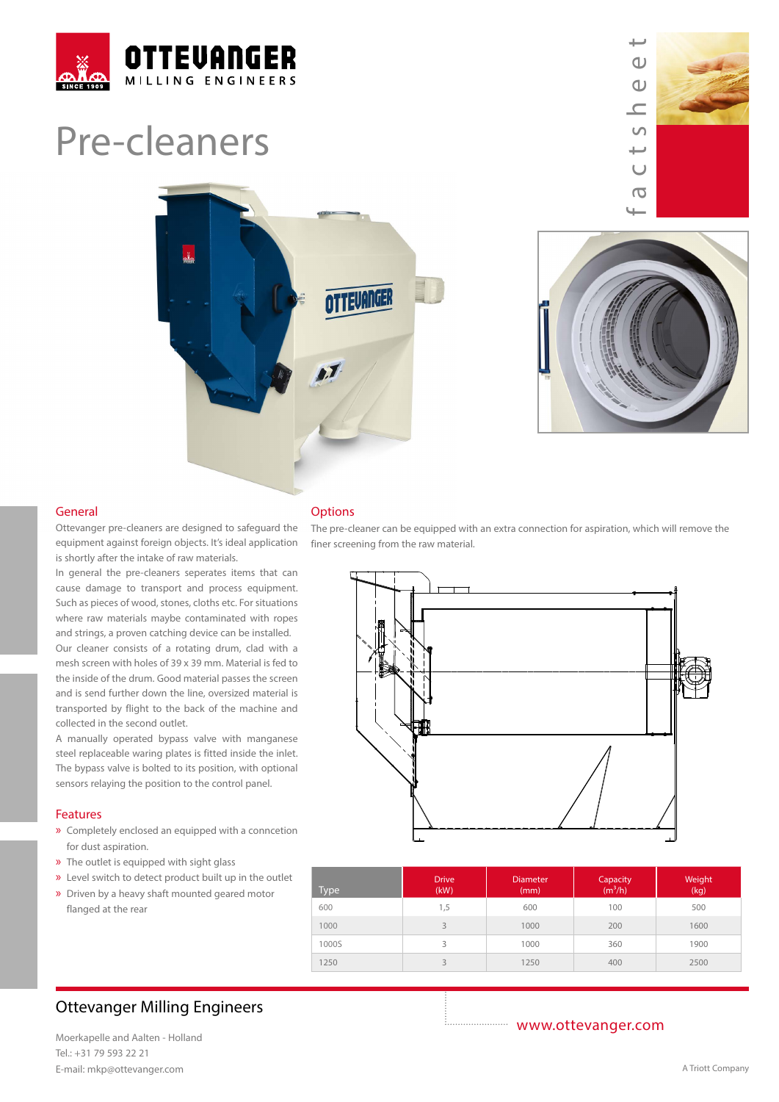

# Pre-cleaners



فسنلد factsheet  $\omega$  $\Omega$  $\subset$  $\cup$ ىپ  $\cup$  $\overline{a}$ 



#### General

Ottevanger pre-cleaners are designed to safeguard the equipment against foreign objects. It's ideal application is shortly after the intake of raw materials.

In general the pre-cleaners seperates items that can cause damage to transport and process equipment. Such as pieces of wood, stones, cloths etc. For situations where raw materials maybe contaminated with ropes and strings, a proven catching device can be installed.

Our cleaner consists of a rotating drum, clad with a mesh screen with holes of 39 x 39 mm. Material is fed to the inside of the drum. Good material passes the screen and is send further down the line, oversized material is transported by flight to the back of the machine and collected in the second outlet.

A manually operated bypass valve with manganese steel replaceable waring plates is fitted inside the inlet. The bypass valve is bolted to its position, with optional sensors relaying the position to the control panel.

#### Features

- » Completely enclosed an equipped with a conncetion for dust aspiration.
- » The outlet is equipped with sight glass
- » Level switch to detect product built up in the outlet
- » Driven by a heavy shaft mounted geared motor flanged at the rear

#### **Options**

The pre-cleaner can be equipped with an extra connection for aspiration, which will remove the finer screening from the raw material.



| Type  | <b>Drive</b><br>(kW) | <b>Diameter</b><br>(mm) | Capacity<br>(m <sup>3</sup> /h) | Weight<br>(kg) |
|-------|----------------------|-------------------------|---------------------------------|----------------|
| 600   | 1,5                  | 600                     | 100                             | 500            |
| 1000  | $\overline{3}$       | 1000                    | 200                             | 1600           |
| 1000S | 3                    | 1000                    | 360                             | 1900           |
| 1250  | ς                    | 1250                    | 400                             | 2500           |

### Ottevanger Milling Engineers

Moerkapelle and Aalten - Holland Tel.: +31 79 593 22 21 E-mail: mkp@ottevanger.com **A Triott Company** A Triott Company

www.ottevanger.com